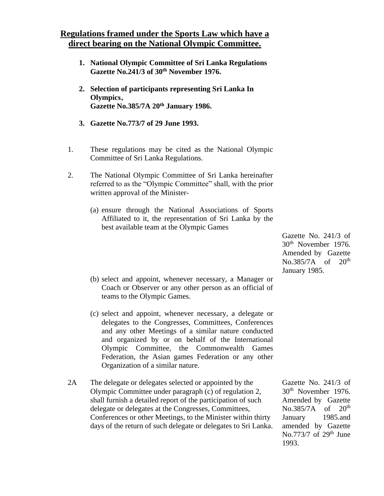## **Regulations framed under the Sports Law which have a direct bearing on the National Olympic Committee.**

- **1. National Olympic Committee of Sri Lanka Regulations Gazette No.241/3 of 30th November 1976.**
- **2. Selection of participants representing Sri Lanka In Olympics' Gazette No.385/7A 20th January 1986.**
- **3. Gazette No.773/7 of 29 June 1993.**
- 1. These regulations may be cited as the National Olympic Committee of Sri Lanka Regulations.
- 2. The National Olympic Committee of Sri Lanka hereinafter referred to as the "Olympic Committee" shall, with the prior written approval of the Minister-
	- (a) ensure through the National Associations of Sports Affiliated to it, the representation of Sri Lanka by the best available team at the Olympic Games
	- (b) select and appoint, whenever necessary, a Manager or Coach or Observer or any other person as an official of teams to the Olympic Games.
	- (c) select and appoint, whenever necessary, a delegate or delegates to the Congresses, Committees, Conferences and any other Meetings of a similar nature conducted and organized by or on behalf of the International Olympic Committee, the Commonwealth Games Federation, the Asian games Federation or any other Organization of a similar nature.
- 2A The delegate or delegates selected or appointed by the Olympic Committee under paragraph (c) of regulation 2, shall furnish a detailed report of the participation of such delegate or delegates at the Congresses, Committees, Conferences or other Meetings, to the Minister within thirty days of the return of such delegate or delegates to Sri Lanka.

Gazette No. 241/3 of 30th November 1976. Amended by Gazette No.385/7A of 20<sup>th</sup> January 1985.and amended by Gazette No.773/7 of  $29<sup>th</sup>$  June 1993.

Gazette No. 241/3 of 30th November 1976. Amended by Gazette No.385/7A of 20<sup>th</sup> January 1985.